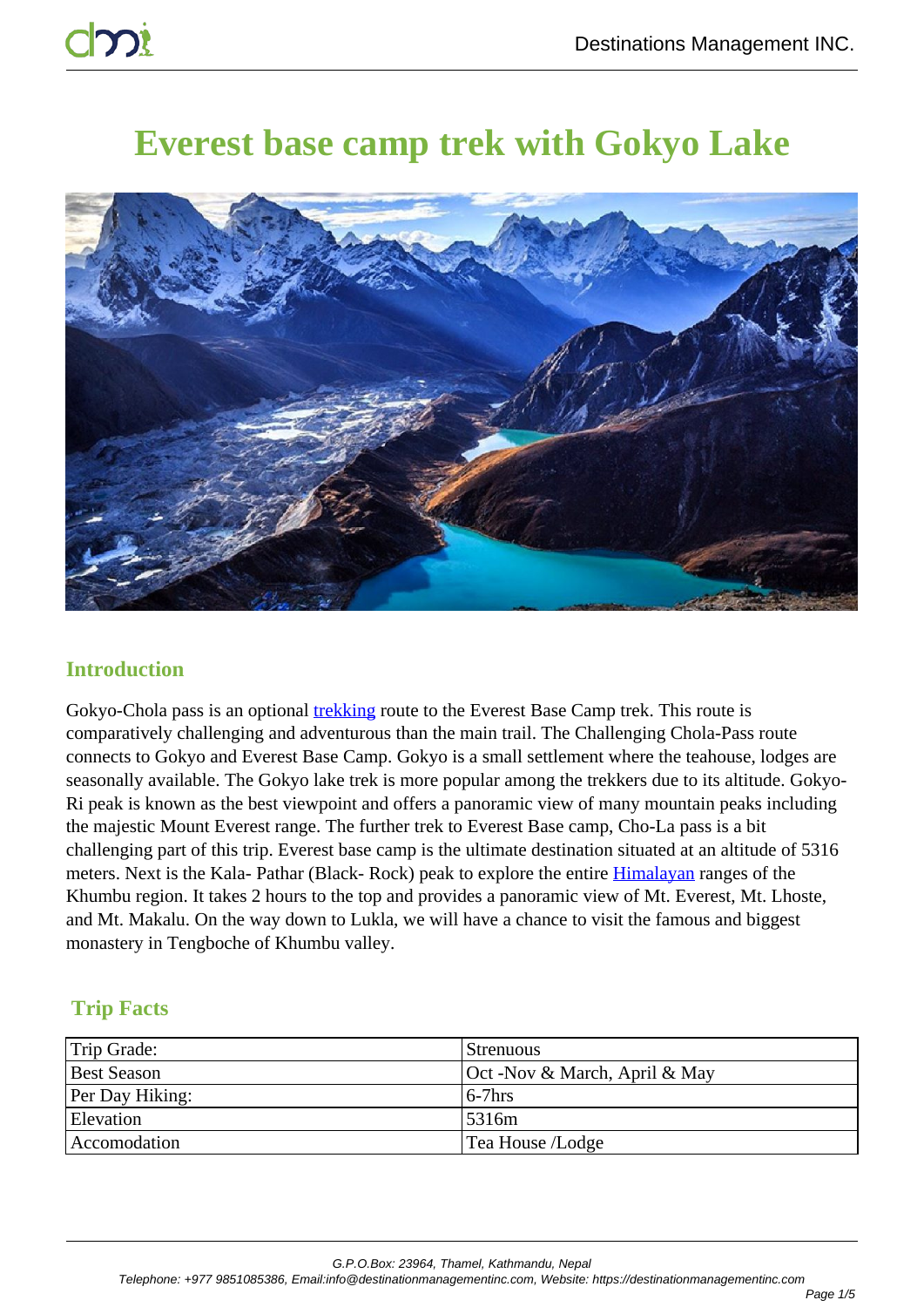# **Everest base camp trek with Gokyo Lake**



# **Introduction**

Gokyo-Chola pass is an optional **trekking** route to the Everest Base Camp trek. This route is comparatively challenging and adventurous than the main trail. The Challenging Chola-Pass route connects to Gokyo and Everest Base Camp. Gokyo is a small settlement where the teahouse, lodges are seasonally available. The Gokyo lake trek is more popular among the trekkers due to its altitude. Gokyo-Ri peak is known as the best viewpoint and offers a panoramic view of many mountain peaks including the majestic Mount Everest range. The further trek to Everest Base camp, Cho-La pass is a bit challenging part of this trip. Everest base camp is the ultimate destination situated at an altitude of 5316 meters. Next is the Kala- Pathar (Black- Rock) peak to explore the entire Himalayan ranges of the Khumbu region. It takes 2 hours to the top and provides a panoramic view of Mt. Everest, Mt. Lhoste, and Mt. Makalu. On the way down to Lukla, we will have a chance to visit the famous and biggest monastery in Tengboche of Khumbu valley.

# **Trip Facts**

| Trip Grade:            | Strenuous                     |
|------------------------|-------------------------------|
| <b>Best Season</b>     | Oct -Nov & March, April & May |
| <b>Per Day Hiking:</b> | $6-7$ hrs                     |
| <b>Elevation</b>       | 5316m                         |
| Accomodation           | Tea House /Lodge              |

G.P.O.Box: 23964, Thamel, Kathmandu, Nepal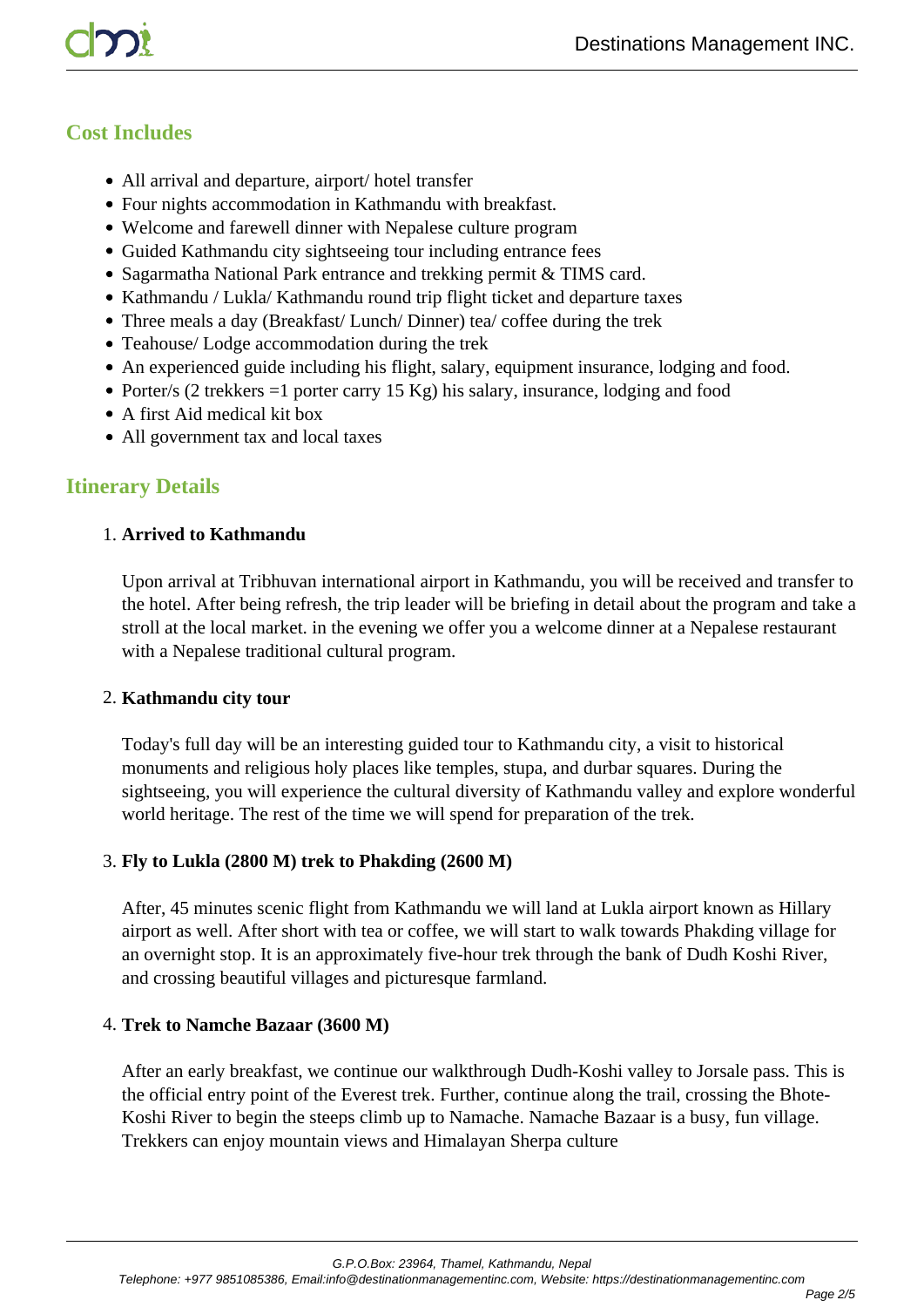# **Cost Includes**

- All arrival and departure, airport/ hotel transfer
- Four nights accommodation in Kathmandu with breakfast.
- Welcome and farewell dinner with Nepalese culture program
- Guided Kathmandu city sightseeing tour including entrance fees
- Sagarmatha National Park entrance and trekking permit & TIMS card.
- Kathmandu / Lukla/ Kathmandu round trip flight ticket and departure taxes
- Three meals a day (Breakfast/ Lunch/ Dinner) tea/ coffee during the trek
- Teahouse/ Lodge accommodation during the trek
- An experienced guide including his flight, salary, equipment insurance, lodging and food.
- Porter/s (2 trekkers  $=1$  porter carry 15 Kg) his salary, insurance, lodging and food
- A first Aid medical kit box
- All government tax and local taxes

# **Itinerary Details**

#### 1. **Arrived to Kathmandu**

Upon arrival at Tribhuvan international airport in Kathmandu, you will be received and transfer to the hotel. After being refresh, the trip leader will be briefing in detail about the program and take a stroll at the local market. in the evening we offer you a welcome dinner at a Nepalese restaurant with a Nepalese traditional cultural program.

#### 2. **Kathmandu city tour**

Today's full day will be an interesting guided tour to Kathmandu city, a visit to historical monuments and religious holy places like temples, stupa, and durbar squares. During the sightseeing, you will experience the cultural diversity of Kathmandu valley and explore wonderful world heritage. The rest of the time we will spend for preparation of the trek.

#### 3. **Fly to Lukla (2800 M) trek to Phakding (2600 M)**

After, 45 minutes scenic flight from Kathmandu we will land at Lukla airport known as Hillary airport as well. After short with tea or coffee, we will start to walk towards Phakding village for an overnight stop. It is an approximately five-hour trek through the bank of Dudh Koshi River, and crossing beautiful villages and picturesque farmland.

#### 4. **Trek to Namche Bazaar (3600 M)**

After an early breakfast, we continue our walkthrough Dudh-Koshi valley to Jorsale pass. This is the official entry point of the Everest trek. Further, continue along the trail, crossing the Bhote-Koshi River to begin the steeps climb up to Namache. Namache Bazaar is a busy, fun village. Trekkers can enjoy mountain views and Himalayan Sherpa culture

G.P.O.Box: 23964, Thamel, Kathmandu, Nepal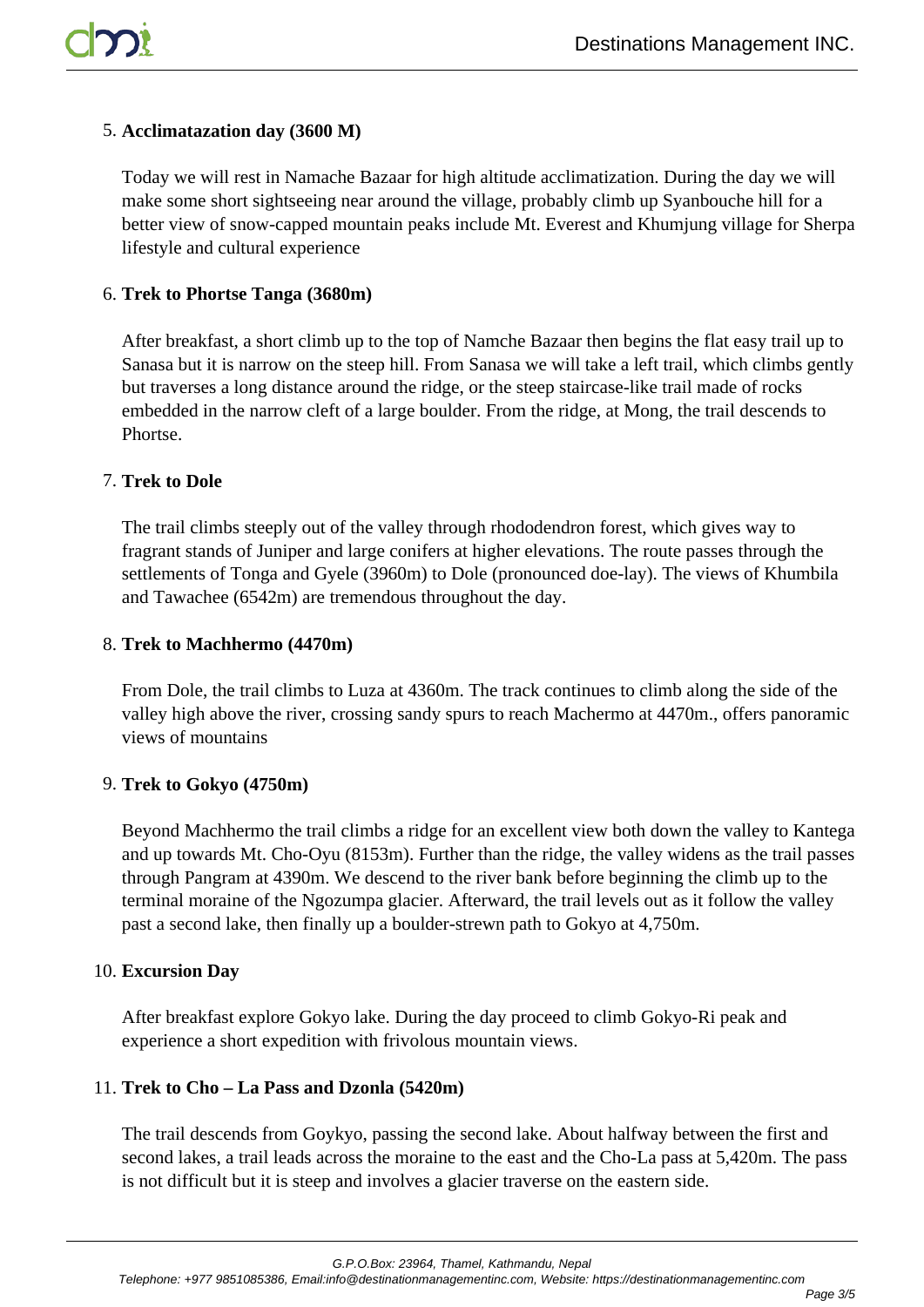## 5. **Acclimatazation day (3600 M)**

Today we will rest in Namache Bazaar for high altitude acclimatization. During the day we will make some short sightseeing near around the village, probably climb up Syanbouche hill for a better view of snow-capped mountain peaks include Mt. Everest and Khumjung village for Sherpa lifestyle and cultural experience

## 6. **Trek to Phortse Tanga (3680m)**

After breakfast, a short climb up to the top of Namche Bazaar then begins the flat easy trail up to Sanasa but it is narrow on the steep hill. From Sanasa we will take a left trail, which climbs gently but traverses a long distance around the ridge, or the steep staircase-like trail made of rocks embedded in the narrow cleft of a large boulder. From the ridge, at Mong, the trail descends to Phortse.

## 7. **Trek to Dole**

The trail climbs steeply out of the valley through rhododendron forest, which gives way to fragrant stands of Juniper and large conifers at higher elevations. The route passes through the settlements of Tonga and Gyele (3960m) to Dole (pronounced doe-lay). The views of Khumbila and Tawachee (6542m) are tremendous throughout the day.

#### 8. **Trek to Machhermo (4470m)**

From Dole, the trail climbs to Luza at 4360m. The track continues to climb along the side of the valley high above the river, crossing sandy spurs to reach Machermo at 4470m., offers panoramic views of mountains

## 9. **Trek to Gokyo (4750m)**

Beyond Machhermo the trail climbs a ridge for an excellent view both down the valley to Kantega and up towards Mt. Cho-Oyu (8153m). Further than the ridge, the valley widens as the trail passes through Pangram at 4390m. We descend to the river bank before beginning the climb up to the terminal moraine of the Ngozumpa glacier. Afterward, the trail levels out as it follow the valley past a second lake, then finally up a boulder-strewn path to Gokyo at 4,750m.

## 10. **Excursion Day**

After breakfast explore Gokyo lake. During the day proceed to climb Gokyo-Ri peak and experience a short expedition with frivolous mountain views.

## 11. **Trek to Cho – La Pass and Dzonla (5420m)**

The trail descends from Goykyo, passing the second lake. About halfway between the first and second lakes, a trail leads across the moraine to the east and the Cho-La pass at 5,420m. The pass is not difficult but it is steep and involves a glacier traverse on the eastern side.

G.P.O.Box: 23964, Thamel, Kathmandu, Nepal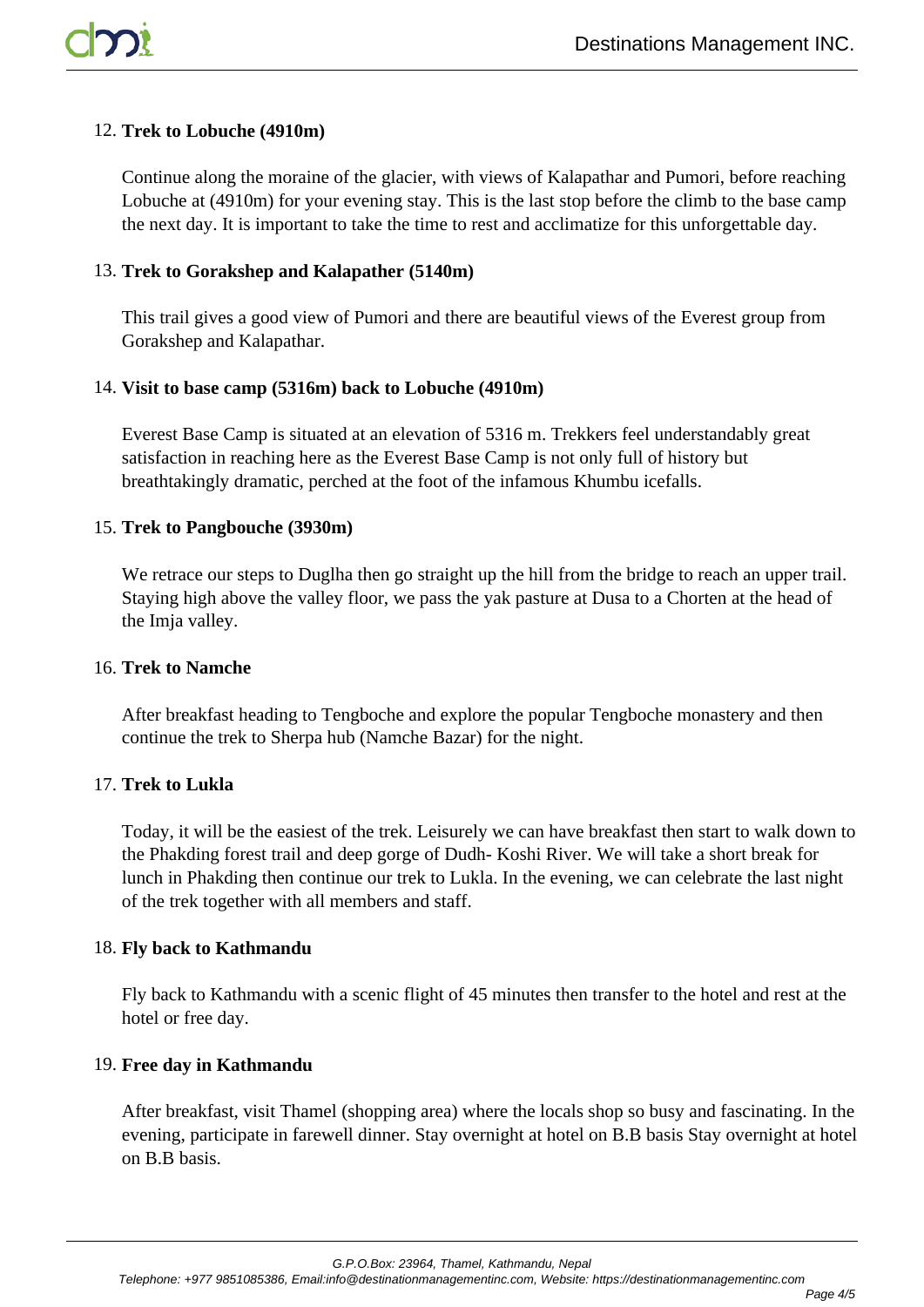## 12. **Trek to Lobuche (4910m)**

Continue along the moraine of the glacier, with views of Kalapathar and Pumori, before reaching Lobuche at (4910m) for your evening stay. This is the last stop before the climb to the base camp the next day. It is important to take the time to rest and acclimatize for this unforgettable day.

## 13. **Trek to Gorakshep and Kalapather (5140m)**

This trail gives a good view of Pumori and there are beautiful views of the Everest group from Gorakshep and Kalapathar.

## 14. **Visit to base camp (5316m) back to Lobuche (4910m)**

Everest Base Camp is situated at an elevation of 5316 m. Trekkers feel understandably great satisfaction in reaching here as the Everest Base Camp is not only full of history but breathtakingly dramatic, perched at the foot of the infamous Khumbu icefalls.

## 15. **Trek to Pangbouche (3930m)**

We retrace our steps to Duglha then go straight up the hill from the bridge to reach an upper trail. Staying high above the valley floor, we pass the yak pasture at Dusa to a Chorten at the head of the Imja valley.

## 16. **Trek to Namche**

After breakfast heading to Tengboche and explore the popular Tengboche monastery and then continue the trek to Sherpa hub (Namche Bazar) for the night.

## 17. **Trek to Lukla**

Today, it will be the easiest of the trek. Leisurely we can have breakfast then start to walk down to the Phakding forest trail and deep gorge of Dudh- Koshi River. We will take a short break for lunch in Phakding then continue our trek to Lukla. In the evening, we can celebrate the last night of the trek together with all members and staff.

## 18. **Fly back to Kathmandu**

Fly back to Kathmandu with a scenic flight of 45 minutes then transfer to the hotel and rest at the hotel or free day.

## 19. **Free day in Kathmandu**

After breakfast, visit Thamel (shopping area) where the locals shop so busy and fascinating. In the evening, participate in farewell dinner. Stay overnight at hotel on B.B basis Stay overnight at hotel on B.B basis.

G.P.O.Box: 23964, Thamel, Kathmandu, Nepal